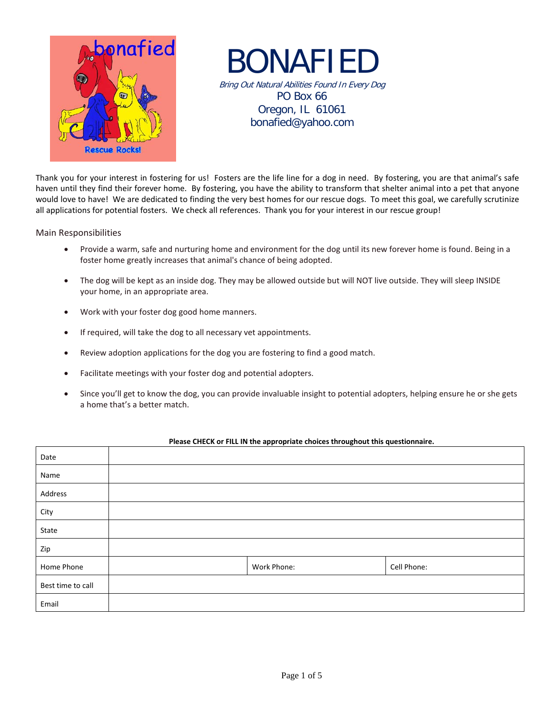

BONAFIED Bring Out Natural Abilities Found In Every Dog PO Box 66 Oregon, IL 61061 bonafied@yahoo.com

Thank you for your interest in fostering for us! Fosters are the life line for a dog in need. By fostering, you are that animal's safe haven until they find their forever home. By fostering, you have the ability to transform that shelter animal into a pet that anyone would love to have! We are dedicated to finding the very best homes for our rescue dogs. To meet this goal, we carefully scrutinize all applications for potential fosters. We check all references. Thank you for your interest in our rescue group!

Main Responsibilities

- Provide a warm, safe and nurturing home and environment for the dog until its new forever home is found. Being in a foster home greatly increases that animal's chance of being adopted.
- The dog will be kept as an inside dog. They may be allowed outside but will NOT live outside. They will sleep INSIDE your home, in an appropriate area.
- Work with your foster dog good home manners.
- If required, will take the dog to all necessary vet appointments.
- Review adoption applications for the dog you are fostering to find a good match.
- Facilitate meetings with your foster dog and potential adopters.
- Since you'll get to know the dog, you can provide invaluable insight to potential adopters, helping ensure he or she gets a home that's a better match.

| Date              |             |             |
|-------------------|-------------|-------------|
| Name              |             |             |
| Address           |             |             |
| City              |             |             |
| State             |             |             |
| Zip               |             |             |
| Home Phone        | Work Phone: | Cell Phone: |
| Best time to call |             |             |
| Email             |             |             |

## **Please CHECK or FILL IN the appropriate choices throughout this questionnaire.**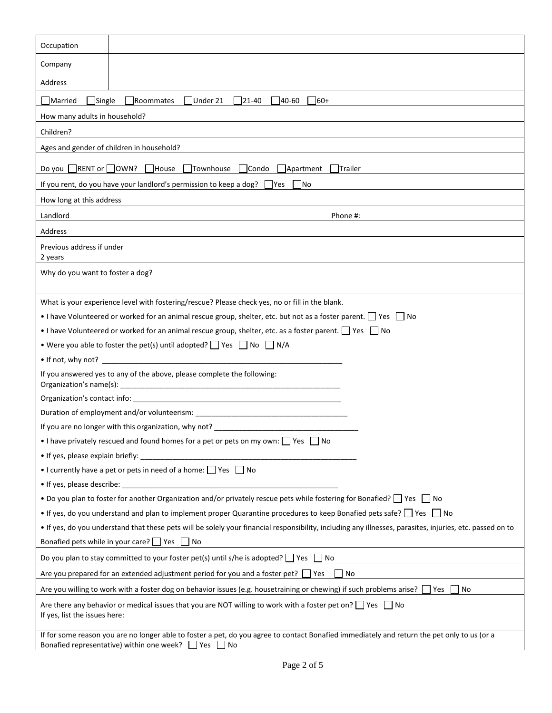| Occupation                                                                                                                                                                                                    |                                                                                                                           |  |  |
|---------------------------------------------------------------------------------------------------------------------------------------------------------------------------------------------------------------|---------------------------------------------------------------------------------------------------------------------------|--|--|
| Company                                                                                                                                                                                                       |                                                                                                                           |  |  |
|                                                                                                                                                                                                               |                                                                                                                           |  |  |
| Address                                                                                                                                                                                                       |                                                                                                                           |  |  |
| $\Box$ Single<br>Married                                                                                                                                                                                      | Under 21<br>$ 21-40\rangle$<br>40-60<br>Roommates<br>$160+$                                                               |  |  |
| How many adults in household?                                                                                                                                                                                 |                                                                                                                           |  |  |
| Children?                                                                                                                                                                                                     |                                                                                                                           |  |  |
|                                                                                                                                                                                                               | Ages and gender of children in household?                                                                                 |  |  |
| $\blacksquare$ RENT or $\blacksquare$ OWN?<br>Do you                                                                                                                                                          | Townhouse<br>$\exists$ Condo<br>House<br>Apartment<br><b>Trailer</b>                                                      |  |  |
|                                                                                                                                                                                                               | If you rent, do you have your landlord's permission to keep a dog? $\Box$ Yes<br> No                                      |  |  |
| How long at this address                                                                                                                                                                                      |                                                                                                                           |  |  |
| Landlord                                                                                                                                                                                                      | Phone #:                                                                                                                  |  |  |
| Address                                                                                                                                                                                                       |                                                                                                                           |  |  |
| Previous address if under<br>2 years                                                                                                                                                                          |                                                                                                                           |  |  |
| Why do you want to foster a dog?                                                                                                                                                                              |                                                                                                                           |  |  |
|                                                                                                                                                                                                               |                                                                                                                           |  |  |
|                                                                                                                                                                                                               | What is your experience level with fostering/rescue? Please check yes, no or fill in the blank.                           |  |  |
|                                                                                                                                                                                                               | • I have Volunteered or worked for an animal rescue group, shelter, etc. but not as a foster parent. $\Box$ Yes $\Box$ No |  |  |
|                                                                                                                                                                                                               | • I have Volunteered or worked for an animal rescue group, shelter, etc. as a foster parent. $\Box$ Yes $\Box$ No         |  |  |
|                                                                                                                                                                                                               | • Were you able to foster the pet(s) until adopted? $\Box$ Yes $\Box$ No $\Box$ N/A                                       |  |  |
|                                                                                                                                                                                                               | $\bullet$ If not, why not?                                                                                                |  |  |
|                                                                                                                                                                                                               | If you answered yes to any of the above, please complete the following:                                                   |  |  |
|                                                                                                                                                                                                               |                                                                                                                           |  |  |
|                                                                                                                                                                                                               | Duration of employment and/or volunteerism:                                                                               |  |  |
| If you are no longer with this organization, why not? _____                                                                                                                                                   |                                                                                                                           |  |  |
|                                                                                                                                                                                                               | • I have privately rescued and found homes for a pet or pets on my own: $\Box$ Yes $\Box$ No                              |  |  |
| • If yes, please explain briefly:                                                                                                                                                                             |                                                                                                                           |  |  |
|                                                                                                                                                                                                               | • I currently have a pet or pets in need of a home: $\Box$ Yes $\Box$ No                                                  |  |  |
| • If yes, please describe: _______                                                                                                                                                                            |                                                                                                                           |  |  |
| • Do you plan to foster for another Organization and/or privately rescue pets while fostering for Bonafied? The Tho                                                                                           |                                                                                                                           |  |  |
| • If yes, do you understand and plan to implement proper Quarantine procedures to keep Bonafied pets safe? $\Box$ Yes $\Box$ No                                                                               |                                                                                                                           |  |  |
| . If yes, do you understand that these pets will be solely your financial responsibility, including any illnesses, parasites, injuries, etc. passed on to                                                     |                                                                                                                           |  |  |
| Bonafied pets while in your care? $\Box$ Yes $\Box$ No                                                                                                                                                        |                                                                                                                           |  |  |
| Do you plan to stay committed to your foster pet(s) until s/he is adopted? $\Box$ Yes<br>l No                                                                                                                 |                                                                                                                           |  |  |
| Are you prepared for an extended adjustment period for you and a foster pet? $\Box$ Yes<br>l No                                                                                                               |                                                                                                                           |  |  |
| Are you willing to work with a foster dog on behavior issues (e.g. housetraining or chewing) if such problems arise? $\Box$ Yes $\Box$<br>No                                                                  |                                                                                                                           |  |  |
| Are there any behavior or medical issues that you are NOT willing to work with a foster pet on? $\Box$ Yes $\Box$ No<br>If yes, list the issues here:                                                         |                                                                                                                           |  |  |
| If for some reason you are no longer able to foster a pet, do you agree to contact Bonafied immediately and return the pet only to us (or a<br>Bonafied representative) within one week? $\Box$ Yes $\Box$ No |                                                                                                                           |  |  |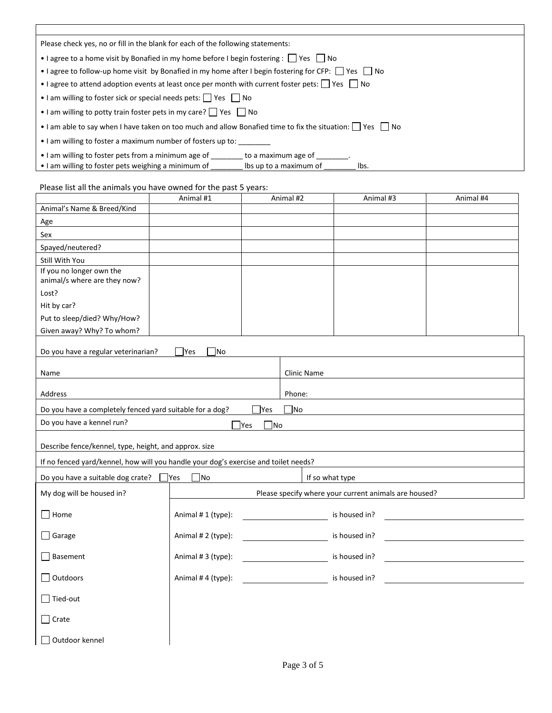| Please check yes, no or fill in the blank for each of the following statements:                                                                                  |  |  |  |  |
|------------------------------------------------------------------------------------------------------------------------------------------------------------------|--|--|--|--|
| • I agree to a home visit by Bonafied in my home before I begin fostering :     Yes     No                                                                       |  |  |  |  |
| • I agree to follow-up home visit by Bonafied in my home after I begin fostering for CFP: $\Box$ Yes $\Box$ No                                                   |  |  |  |  |
| • I agree to attend adoption events at least once per month with current foster pets: $\Box$ Yes $\Box$ No                                                       |  |  |  |  |
| • I am willing to foster sick or special needs pets: Pes Piso                                                                                                    |  |  |  |  |
| • I am willing to potty train foster pets in my care? $\Box$ Yes $\Box$ No                                                                                       |  |  |  |  |
| • I am able to say when I have taken on too much and allow Bonafied time to fix the situation: $\vert \vert$ Yes $\vert \vert$ No                                |  |  |  |  |
| • I am willing to foster a maximum number of fosters up to:                                                                                                      |  |  |  |  |
| • I am willing to foster pets from a minimum age of to a maximum age of<br>• I am willing to foster pets weighing a minimum of<br>Ibs up to a maximum of<br>lbs. |  |  |  |  |

## Please list all the animals you have owned for the past 5 years:

|                                                                                     |         | Animal #1          |                                    | Animal #2    | Animal #3                                             | Animal #4 |
|-------------------------------------------------------------------------------------|---------|--------------------|------------------------------------|--------------|-------------------------------------------------------|-----------|
| Animal's Name & Breed/Kind                                                          |         |                    |                                    |              |                                                       |           |
| Age                                                                                 |         |                    |                                    |              |                                                       |           |
| Sex                                                                                 |         |                    |                                    |              |                                                       |           |
| Spayed/neutered?                                                                    |         |                    |                                    |              |                                                       |           |
| Still With You                                                                      |         |                    |                                    |              |                                                       |           |
| If you no longer own the                                                            |         |                    |                                    |              |                                                       |           |
| animal/s where are they now?                                                        |         |                    |                                    |              |                                                       |           |
| Lost?                                                                               |         |                    |                                    |              |                                                       |           |
| Hit by car?                                                                         |         |                    |                                    |              |                                                       |           |
| Put to sleep/died? Why/How?                                                         |         |                    |                                    |              |                                                       |           |
| Given away? Why? To whom?                                                           |         |                    |                                    |              |                                                       |           |
| Do you have a regular veterinarian?<br>Yes<br><b>No</b>                             |         |                    |                                    |              |                                                       |           |
| Name                                                                                |         |                    | Clinic Name                        |              |                                                       |           |
| Address                                                                             |         |                    |                                    | Phone:       |                                                       |           |
| Do you have a completely fenced yard suitable for a dog?                            |         |                    | <b>P</b> es                        | $\square$ No |                                                       |           |
| Do you have a kennel run?                                                           |         |                    | $\square$ No<br>$\blacksquare$ Yes |              |                                                       |           |
| Describe fence/kennel, type, height, and approx. size                               |         |                    |                                    |              |                                                       |           |
| If no fenced yard/kennel, how will you handle your dog's exercise and toilet needs? |         |                    |                                    |              |                                                       |           |
| Do you have a suitable dog crate?                                                   | $ $ Yes | No                 |                                    |              | If so what type                                       |           |
|                                                                                     |         |                    |                                    |              |                                                       |           |
| My dog will be housed in?                                                           |         |                    |                                    |              | Please specify where your current animals are housed? |           |
| $\Box$ Home                                                                         |         | Animal #1 (type):  |                                    |              | is housed in?                                         |           |
| $\Box$ Garage                                                                       |         | Animal # 2 (type): |                                    |              | is housed in?                                         |           |
| Basement                                                                            |         | Animal #3 (type):  |                                    |              | is housed in?                                         |           |
| $\Box$ Outdoors                                                                     |         | Animal #4 (type):  |                                    |              | is housed in?                                         |           |
| $\Box$ Tied-out                                                                     |         |                    |                                    |              |                                                       |           |
| $\Box$ Crate                                                                        |         |                    |                                    |              |                                                       |           |
| Outdoor kennel                                                                      |         |                    |                                    |              |                                                       |           |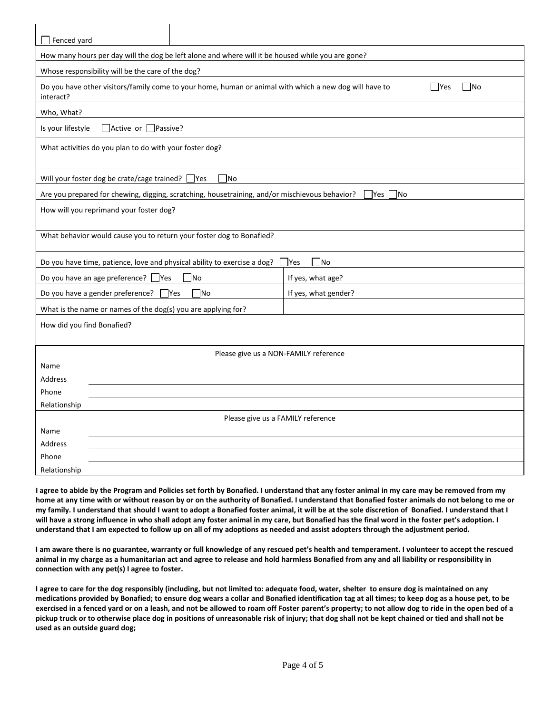| Fenced yard                                                                                                                                |  |  |  |  |  |
|--------------------------------------------------------------------------------------------------------------------------------------------|--|--|--|--|--|
| How many hours per day will the dog be left alone and where will it be housed while you are gone?                                          |  |  |  |  |  |
| Whose responsibility will be the care of the dog?                                                                                          |  |  |  |  |  |
| Do you have other visitors/family come to your home, human or animal with which a new dog will have to<br>   No<br><b>Yes</b><br>interact? |  |  |  |  |  |
| Who, What?                                                                                                                                 |  |  |  |  |  |
| Active or Passive?<br>Is your lifestyle                                                                                                    |  |  |  |  |  |
| What activities do you plan to do with your foster dog?                                                                                    |  |  |  |  |  |
| Will your foster dog be crate/cage trained? □ Yes<br><b>No</b>                                                                             |  |  |  |  |  |
| Are you prepared for chewing, digging, scratching, housetraining, and/or mischievous behavior?<br>  Yes    No                              |  |  |  |  |  |
| How will you reprimand your foster dog?                                                                                                    |  |  |  |  |  |
| What behavior would cause you to return your foster dog to Bonafied?                                                                       |  |  |  |  |  |
| ∃No<br>Do you have time, patience, love and physical ability to exercise a dog?<br><b>Yes</b>                                              |  |  |  |  |  |
| Do you have an age preference? $\Box$ Yes<br>If yes, what age?<br> No                                                                      |  |  |  |  |  |
| Do you have a gender preference? $\Box$ Yes<br>If yes, what gender?<br><b>No</b>                                                           |  |  |  |  |  |
| What is the name or names of the dog(s) you are applying for?                                                                              |  |  |  |  |  |
| How did you find Bonafied?                                                                                                                 |  |  |  |  |  |
| Please give us a NON-FAMILY reference                                                                                                      |  |  |  |  |  |
| Name                                                                                                                                       |  |  |  |  |  |
| <b>Address</b>                                                                                                                             |  |  |  |  |  |
| Phone                                                                                                                                      |  |  |  |  |  |
| Relationship                                                                                                                               |  |  |  |  |  |
| Please give us a FAMILY reference                                                                                                          |  |  |  |  |  |
| Name<br><b>Address</b>                                                                                                                     |  |  |  |  |  |
| Phone                                                                                                                                      |  |  |  |  |  |
| Relationship                                                                                                                               |  |  |  |  |  |

**I agree to abide by the Program and Policies set forth by Bonafied. I understand that any foster animal in my care may be removed from my home at any time with or without reason by or on the authority of Bonafied. I understand that Bonafied foster animals do not belong to me or my family. I understand that should I want to adopt a Bonafied foster animal, it will be at the sole discretion of Bonafied. I understand that I will have a strong influence in who shall adopt any foster animal in my care, but Bonafied has the final word in the foster pet's adoption. I understand that I am expected to follow up on all of my adoptions as needed and assist adopters through the adjustment period.** 

**I am aware there is no guarantee, warranty or full knowledge of any rescued pet's health and temperament. I volunteer to accept the rescued animal in my charge as a humanitarian act and agree to release and hold harmless Bonafied from any and all liability or responsibility in connection with any pet(s) I agree to foster.**

**I agree to care for the dog responsibly (including, but not limited to: adequate food, water, shelter to ensure dog is maintained on any medications provided by Bonafied; to ensure dog wears a collar and Bonafied identification tag at all times; to keep dog as a house pet, to be exercised in a fenced yard or on a leash, and not be allowed to roam off Foster parent's property; to not allow dog to ride in the open bed of a pickup truck or to otherwise place dog in positions of unreasonable risk of injury; that dog shall not be kept chained or tied and shall not be used as an outside guard dog;**